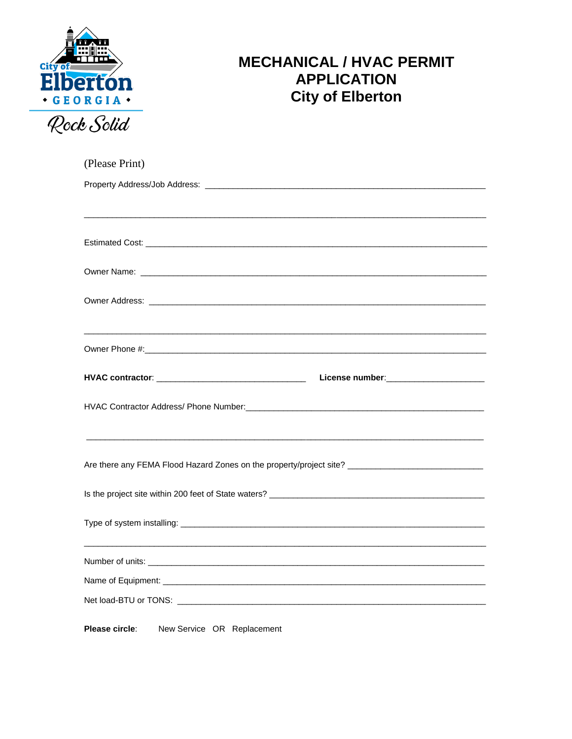

## **MECHANICAL / HVAC PERMIT APPLICATION City of Elberton**

| (Please Print)                                                                                       |  |  |  |  |  |  |
|------------------------------------------------------------------------------------------------------|--|--|--|--|--|--|
|                                                                                                      |  |  |  |  |  |  |
|                                                                                                      |  |  |  |  |  |  |
|                                                                                                      |  |  |  |  |  |  |
|                                                                                                      |  |  |  |  |  |  |
|                                                                                                      |  |  |  |  |  |  |
|                                                                                                      |  |  |  |  |  |  |
|                                                                                                      |  |  |  |  |  |  |
|                                                                                                      |  |  |  |  |  |  |
|                                                                                                      |  |  |  |  |  |  |
|                                                                                                      |  |  |  |  |  |  |
|                                                                                                      |  |  |  |  |  |  |
|                                                                                                      |  |  |  |  |  |  |
|                                                                                                      |  |  |  |  |  |  |
|                                                                                                      |  |  |  |  |  |  |
| Are there any FEMA Flood Hazard Zones on the property/project site? ________________________________ |  |  |  |  |  |  |
|                                                                                                      |  |  |  |  |  |  |
|                                                                                                      |  |  |  |  |  |  |
|                                                                                                      |  |  |  |  |  |  |
|                                                                                                      |  |  |  |  |  |  |
|                                                                                                      |  |  |  |  |  |  |
|                                                                                                      |  |  |  |  |  |  |
| Net load-BTU or TONS: Net load-BTU or TONS: Net load-BTU or TONS: Net load-BTU or TONS:              |  |  |  |  |  |  |
|                                                                                                      |  |  |  |  |  |  |
| Please circle:<br>New Service OR Replacement                                                         |  |  |  |  |  |  |